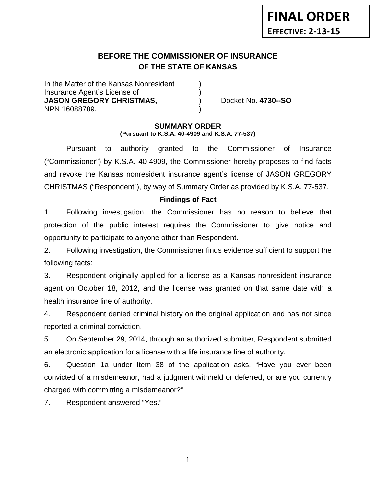# **BEFORE THE COMMISSIONER OF INSURANCE OF THE STATE OF KANSAS**

In the Matter of the Kansas Nonresident Insurance Agent's License of ) **JASON GREGORY CHRISTMAS,**  $Docket No. 4730-SO$ NPN 16088789. )

#### **SUMMARY ORDER (Pursuant to K.S.A. 40-4909 and K.S.A. 77-537)**

Pursuant to authority granted to the Commissioner of Insurance ("Commissioner") by K.S.A. 40-4909, the Commissioner hereby proposes to find facts and revoke the Kansas nonresident insurance agent's license of JASON GREGORY CHRISTMAS ("Respondent"), by way of Summary Order as provided by K.S.A. 77-537.

# **Findings of Fact**

1. Following investigation, the Commissioner has no reason to believe that protection of the public interest requires the Commissioner to give notice and opportunity to participate to anyone other than Respondent.

2. Following investigation, the Commissioner finds evidence sufficient to support the following facts:

3. Respondent originally applied for a license as a Kansas nonresident insurance agent on October 18, 2012, and the license was granted on that same date with a health insurance line of authority.

4. Respondent denied criminal history on the original application and has not since reported a criminal conviction.

5. On September 29, 2014, through an authorized submitter, Respondent submitted an electronic application for a license with a life insurance line of authority.

6. Question 1a under Item 38 of the application asks, "Have you ever been convicted of a misdemeanor, had a judgment withheld or deferred, or are you currently charged with committing a misdemeanor?"

7. Respondent answered "Yes."

1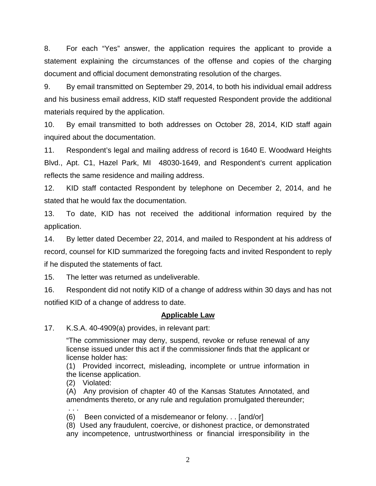8. For each "Yes" answer, the application requires the applicant to provide a statement explaining the circumstances of the offense and copies of the charging document and official document demonstrating resolution of the charges.

9. By email transmitted on September 29, 2014, to both his individual email address and his business email address, KID staff requested Respondent provide the additional materials required by the application.

10. By email transmitted to both addresses on October 28, 2014, KID staff again inquired about the documentation.

11. Respondent's legal and mailing address of record is 1640 E. Woodward Heights Blvd., Apt. C1, Hazel Park, MI 48030-1649, and Respondent's current application reflects the same residence and mailing address.

12. KID staff contacted Respondent by telephone on December 2, 2014, and he stated that he would fax the documentation.

13. To date, KID has not received the additional information required by the application.

14. By letter dated December 22, 2014, and mailed to Respondent at his address of record, counsel for KID summarized the foregoing facts and invited Respondent to reply if he disputed the statements of fact.

15. The letter was returned as undeliverable.

16. Respondent did not notify KID of a change of address within 30 days and has not notified KID of a change of address to date.

## **Applicable Law**

17. K.S.A. 40-4909(a) provides, in relevant part:

"The commissioner may deny, suspend, revoke or refuse renewal of any license issued under this act if the commissioner finds that the applicant or license holder has:

(1) Provided incorrect, misleading, incomplete or untrue information in the license application.

(2) Violated:

(A) Any provision of chapter 40 of the Kansas Statutes Annotated, and amendments thereto, or any rule and regulation promulgated thereunder;

. . . (6) Been convicted of a misdemeanor or felony. . . [and/or]

(8) Used any fraudulent, coercive, or dishonest practice, or demonstrated any incompetence, untrustworthiness or financial irresponsibility in the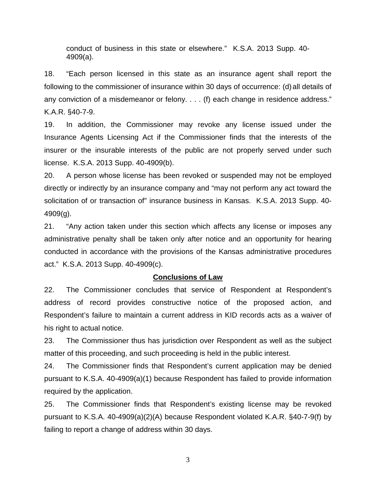conduct of business in this state or elsewhere." K.S.A. 2013 Supp. 40- 4909(a).

18. "Each person licensed in this state as an insurance agent shall report the following to the commissioner of insurance within 30 days of occurrence: (d)all details of any conviction of a misdemeanor or felony. . . . (f) each change in residence address." K.A.R. §40-7-9.

19. In addition, the Commissioner may revoke any license issued under the Insurance Agents Licensing Act if the Commissioner finds that the interests of the insurer or the insurable interests of the public are not properly served under such license. K.S.A. 2013 Supp. 40-4909(b).

20. A person whose license has been revoked or suspended may not be employed directly or indirectly by an insurance company and "may not perform any act toward the solicitation of or transaction of" insurance business in Kansas. K.S.A. 2013 Supp. 40- 4909(g).

21. "Any action taken under this section which affects any license or imposes any administrative penalty shall be taken only after notice and an opportunity for hearing conducted in accordance with the provisions of the Kansas administrative procedures act." K.S.A. 2013 Supp. 40-4909(c).

#### **Conclusions of Law**

22. The Commissioner concludes that service of Respondent at Respondent's address of record provides constructive notice of the proposed action, and Respondent's failure to maintain a current address in KID records acts as a waiver of his right to actual notice.

23. The Commissioner thus has jurisdiction over Respondent as well as the subject matter of this proceeding, and such proceeding is held in the public interest.

24. The Commissioner finds that Respondent's current application may be denied pursuant to K.S.A. 40-4909(a)(1) because Respondent has failed to provide information required by the application.

25. The Commissioner finds that Respondent's existing license may be revoked pursuant to K.S.A. 40-4909(a)(2)(A) because Respondent violated K.A.R. §40-7-9(f) by failing to report a change of address within 30 days.

3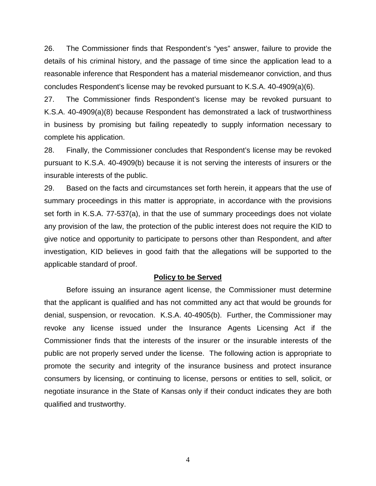26. The Commissioner finds that Respondent's "yes" answer, failure to provide the details of his criminal history, and the passage of time since the application lead to a reasonable inference that Respondent has a material misdemeanor conviction, and thus concludes Respondent's license may be revoked pursuant to K.S.A. 40-4909(a)(6).

27. The Commissioner finds Respondent's license may be revoked pursuant to K.S.A. 40-4909(a)(8) because Respondent has demonstrated a lack of trustworthiness in business by promising but failing repeatedly to supply information necessary to complete his application.

28. Finally, the Commissioner concludes that Respondent's license may be revoked pursuant to K.S.A. 40-4909(b) because it is not serving the interests of insurers or the insurable interests of the public.

29. Based on the facts and circumstances set forth herein, it appears that the use of summary proceedings in this matter is appropriate, in accordance with the provisions set forth in K.S.A. 77-537(a), in that the use of summary proceedings does not violate any provision of the law, the protection of the public interest does not require the KID to give notice and opportunity to participate to persons other than Respondent, and after investigation, KID believes in good faith that the allegations will be supported to the applicable standard of proof.

#### **Policy to be Served**

Before issuing an insurance agent license, the Commissioner must determine that the applicant is qualified and has not committed any act that would be grounds for denial, suspension, or revocation. K.S.A. 40-4905(b). Further, the Commissioner may revoke any license issued under the Insurance Agents Licensing Act if the Commissioner finds that the interests of the insurer or the insurable interests of the public are not properly served under the license. The following action is appropriate to promote the security and integrity of the insurance business and protect insurance consumers by licensing, or continuing to license, persons or entities to sell, solicit, or negotiate insurance in the State of Kansas only if their conduct indicates they are both qualified and trustworthy.

4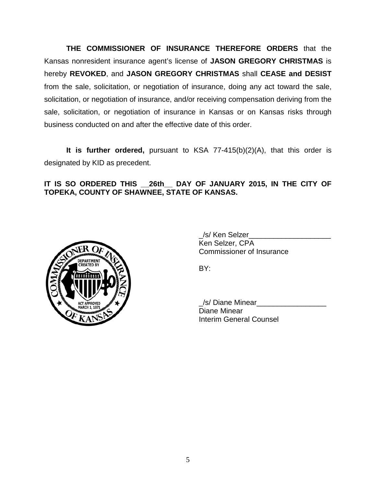**THE COMMISSIONER OF INSURANCE THEREFORE ORDERS** that the Kansas nonresident insurance agent's license of **JASON GREGORY CHRISTMAS** is hereby **REVOKED**, and **JASON GREGORY CHRISTMAS** shall **CEASE and DESIST** from the sale, solicitation, or negotiation of insurance, doing any act toward the sale, solicitation, or negotiation of insurance, and/or receiving compensation deriving from the sale, solicitation, or negotiation of insurance in Kansas or on Kansas risks through business conducted on and after the effective date of this order.

**It is further ordered,** pursuant to KSA 77-415(b)(2)(A), that this order is designated by KID as precedent.

**IT IS SO ORDERED THIS \_\_26th\_\_ DAY OF JANUARY 2015, IN THE CITY OF TOPEKA, COUNTY OF SHAWNEE, STATE OF KANSAS.**



\_/s/ Ken Selzer\_\_\_\_\_\_\_\_\_\_\_\_\_\_\_\_\_\_\_\_ Ken Selzer, CPA Commissioner of Insurance

BY:

\_/s/ Diane Minear\_\_\_\_\_\_\_\_\_\_\_\_\_\_\_\_\_ Diane Minear Interim General Counsel